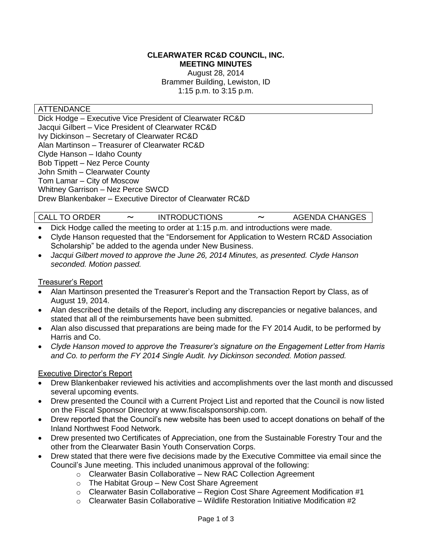#### **CLEARWATER RC&D COUNCIL, INC. MEETING MINUTES**

August 28, 2014 Brammer Building, Lewiston, ID 1:15 p.m. to 3:15 p.m.

#### ATTENDANCE

Dick Hodge – Executive Vice President of Clearwater RC&D Jacqui Gilbert – Vice President of Clearwater RC&D Ivy Dickinson – Secretary of Clearwater RC&D Alan Martinson – Treasurer of Clearwater RC&D Clyde Hanson – Idaho County Bob Tippett – Nez Perce County John Smith – Clearwater County Tom Lamar – City of Moscow Whitney Garrison – Nez Perce SWCD Drew Blankenbaker – Executive Director of Clearwater RC&D

# CALL TO ORDER 〜 INTRODUCTIONS 〜 AGENDA CHANGES

- Dick Hodge called the meeting to order at 1:15 p.m. and introductions were made.
- Clyde Hanson requested that the "Endorsement for Application to Western RC&D Association Scholarship" be added to the agenda under New Business.
- *Jacqui Gilbert moved to approve the June 26, 2014 Minutes, as presented. Clyde Hanson seconded. Motion passed.*

#### Treasurer's Report

- Alan Martinson presented the Treasurer's Report and the Transaction Report by Class, as of August 19, 2014.
- Alan described the details of the Report, including any discrepancies or negative balances, and stated that all of the reimbursements have been submitted.
- Alan also discussed that preparations are being made for the FY 2014 Audit, to be performed by Harris and Co.
- *Clyde Hanson moved to approve the Treasurer's signature on the Engagement Letter from Harris and Co. to perform the FY 2014 Single Audit. Ivy Dickinson seconded. Motion passed.*

#### Executive Director's Report

- Drew Blankenbaker reviewed his activities and accomplishments over the last month and discussed several upcoming events.
- Drew presented the Council with a Current Project List and reported that the Council is now listed on the Fiscal Sponsor Directory at www.fiscalsponsorship.com.
- Drew reported that the Council's new website has been used to accept donations on behalf of the Inland Northwest Food Network.
- Drew presented two Certificates of Appreciation, one from the Sustainable Forestry Tour and the other from the Clearwater Basin Youth Conservation Corps.
- Drew stated that there were five decisions made by the Executive Committee via email since the Council's June meeting. This included unanimous approval of the following:
	- o Clearwater Basin Collaborative New RAC Collection Agreement
	- o The Habitat Group New Cost Share Agreement
	- $\circ$  Clearwater Basin Collaborative Region Cost Share Agreement Modification #1
	- $\circ$  Clearwater Basin Collaborative Wildlife Restoration Initiative Modification #2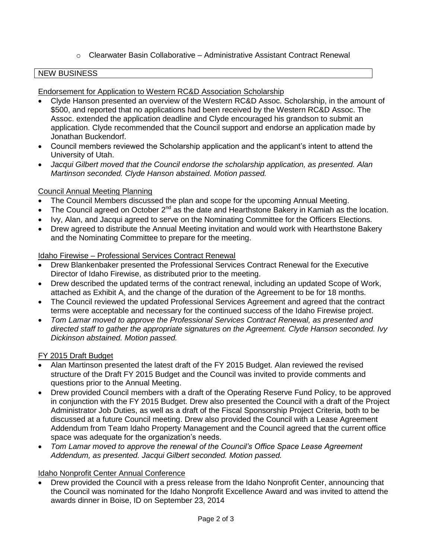# $\circ$  Clearwater Basin Collaborative – Administrative Assistant Contract Renewal

### NEW BUSINESS

#### Endorsement for Application to Western RC&D Association Scholarship

- Clyde Hanson presented an overview of the Western RC&D Assoc. Scholarship, in the amount of \$500, and reported that no applications had been received by the Western RC&D Assoc. The Assoc. extended the application deadline and Clyde encouraged his grandson to submit an application. Clyde recommended that the Council support and endorse an application made by Jonathan Buckendorf.
- Council members reviewed the Scholarship application and the applicant's intent to attend the University of Utah.
- *Jacqui Gilbert moved that the Council endorse the scholarship application, as presented. Alan Martinson seconded. Clyde Hanson abstained. Motion passed.*

# Council Annual Meeting Planning

- The Council Members discussed the plan and scope for the upcoming Annual Meeting.
- The Council agreed on October  $2^{nd}$  as the date and Hearthstone Bakery in Kamiah as the location.
- Ivy, Alan, and Jacqui agreed to serve on the Nominating Committee for the Officers Elections.
- Drew agreed to distribute the Annual Meeting invitation and would work with Hearthstone Bakery and the Nominating Committee to prepare for the meeting.

# Idaho Firewise – Professional Services Contract Renewal

- Drew Blankenbaker presented the Professional Services Contract Renewal for the Executive Director of Idaho Firewise, as distributed prior to the meeting.
- Drew described the updated terms of the contract renewal, including an updated Scope of Work, attached as Exhibit A, and the change of the duration of the Agreement to be for 18 months.
- The Council reviewed the updated Professional Services Agreement and agreed that the contract terms were acceptable and necessary for the continued success of the Idaho Firewise project.
- *Tom Lamar moved to approve the Professional Services Contract Renewal, as presented and directed staff to gather the appropriate signatures on the Agreement. Clyde Hanson seconded. Ivy Dickinson abstained. Motion passed.*

### FY 2015 Draft Budget

- Alan Martinson presented the latest draft of the FY 2015 Budget. Alan reviewed the revised structure of the Draft FY 2015 Budget and the Council was invited to provide comments and questions prior to the Annual Meeting.
- Drew provided Council members with a draft of the Operating Reserve Fund Policy, to be approved in conjunction with the FY 2015 Budget. Drew also presented the Council with a draft of the Project Administrator Job Duties, as well as a draft of the Fiscal Sponsorship Project Criteria, both to be discussed at a future Council meeting. Drew also provided the Council with a Lease Agreement Addendum from Team Idaho Property Management and the Council agreed that the current office space was adequate for the organization's needs.
- *Tom Lamar moved to approve the renewal of the Council's Office Space Lease Agreement Addendum, as presented. Jacqui Gilbert seconded. Motion passed.*

### Idaho Nonprofit Center Annual Conference

 Drew provided the Council with a press release from the Idaho Nonprofit Center, announcing that the Council was nominated for the Idaho Nonprofit Excellence Award and was invited to attend the awards dinner in Boise, ID on September 23, 2014